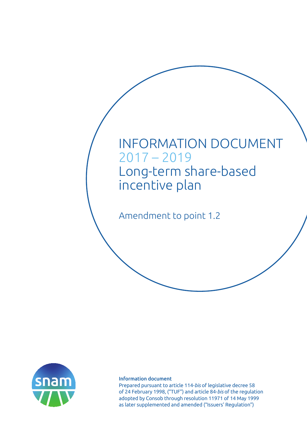# INFORMATION DOCUMENT  $2017 - 2019$ Long-term share-based incentive plan

Amendment to point 1.2



## Information document

Prepared pursuant to article 114-*bis* of legislative decree 58 of 24 February 1998, ("TUF") and article 84-*bis* of the regulation adopted by Consob through resolution 11971 of 14 May 1999 as later supplemented and amended ("Issuers' Regulation")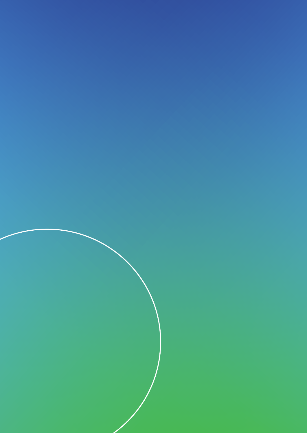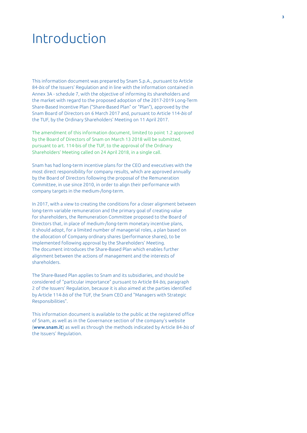# Introduction

This information document was prepared by Snam S.p.A., pursuant to Article 84-*bis* of the Issuers' Regulation and in line with the information contained in Annex 3A - schedule 7, with the objective of informing its shareholders and the market with regard to the proposed adoption of the 2017-2019 Long-Term Share-Based Incentive Plan ("Share-Based Plan" or "Plan"), approved by the Snam Board of Directors on 6 March 2017 and, pursuant to Article 114-*bis* of the TUF, by the Ordinary Shareholders' Meeting on 11 April 2017.

The amendment of this information document, limited to point 1.2 approved by the Board of Directors of Snam on March 13 2018 will be submitted, pursuant to art. 114-bis of the TUF, to the approval of the Ordinary Shareholders' Meeting called on 24 April 2018, in a single call.

Snam has had long-term incentive plans for the CEO and executives with the most direct responsibility for company results, which are approved annually by the Board of Directors following the proposal of the Remuneration Committee, in use since 2010, in order to align their performance with company targets in the medium-/long-term.

In 2017, with a view to creating the conditions for a closer alignment between long-term variable remuneration and the primary goal of creating value for shareholders, the Remuneration Committee proposed to the Board of Directors that, in place of medium-/long-term monetary incentive plans, it should adopt, for a limited number of managerial roles, a plan based on the allocation of Company ordinary shares (performance shares), to be implemented following approval by the Shareholders' Meeting. The document introduces the Share-Based Plan which enables further alignment between the actions of management and the interests of shareholders.

The Share-Based Plan applies to Snam and its subsidiaries, and should be considered of "particular importance" pursuant to Article 84-*bis*, paragraph 2 of the Issuers' Regulation, because it is also aimed at the parties identified by Article 114-*bis* of the TUF, the Snam CEO and "Managers with Strategic Responsibilities".

This information document is available to the public at the registered office of Snam, as well as in the Governance section of the company's website (www.snam.it) as well as through the methods indicated by Article 84-*bis* of the Issuers' Regulation.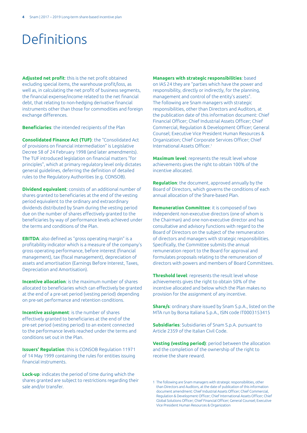# Definitions

**Adjusted net profit**: this is the net profit obtained excluding special items, the warehouse profit/loss, as well as, in calculating the net profit of business segments, the financial expense/income related to the net financial debt, that relating to non-hedging derivative financial instruments other than those for commodities and foreign exchange differences.

**Beneficiaries**: the intended recipients of the Plan

**Consolidated Finance Act (TUF)**: the "Consolidated Act of provisions on financial intermediation" is Legislative Decree 58 of 24 February 1998 (and later amendments). The TUF introduced legislation on financial matters "for principles", which at primary regulatory level only dictates general guidelines, deferring the definition of detailed rules to the Regulatory Authorities (e.g. CONSOB).

**Dividend equivalent**: consists of an additional number of shares granted to beneficiaries at the end of the vesting period equivalent to the ordinary and extraordinary dividends distributed by Snam during the vesting period due on the number of shares effectively granted to the beneficiaries by way of performance levels achieved under the terms and conditions of the Plan.

**EBITDA**: also defined as "gross operating margin" is a profitability indicator which is a measure of the company's gross operating performance, before interest (financial management), tax (fiscal management), depreciation of assets and amortisation (Earnings Before Interest, Taxes, Depreciation and Amortisation).

**Incentive allocation**: is the maximum number of shares allocated to beneficiaries which can effectively be granted at the end of a pre-set period (vesting period) depending on pre-set performance and retention conditions.

**Incentive assignment**: is the number of shares effectively granted to beneficiaries at the end of the pre-set period (vesting period) to an extent connected to the performance levels reached under the terms and conditions set out in the Plan.

**Issuers' Regulation**: this is CONSOB Regulation 11971 of 14 May 1999 containing the rules for entities issuing financial instruments.

**Lock-up**: indicates the period of time during which the shares granted are subject to restrictions regarding their sale and/or transfer.

**Managers with strategic responsibilities**: based on IAS 24 they are "parties which have the power and responsibility, directly or indirectly, for the planning, management and control of the entity's assets". The following are Snam managers with strategic responsibilities, other than Directors and Auditors, at the publication date of this information document: Chief Financial Officer; Chief Industrial Assets Officer; Chief Commercial, Regulation & Development Officer; General Counsel; Executive Vice President Human Resources & Organization; Chief Corporate Services Officer; Chief International Assets Officer.<sup>1</sup>

**Maximum level**: represents the result level whose achievements gives the right to obtain 100% of the incentive allocated.

**Regulation**: the document, approved annually by the Board of Directors, which governs the conditions of each annual allocation of the Share-based Plan.

**Remuneration Committee**: it is composed of two independent non-executive directors (one of whom is the Chairman) and one non-executive director and has consultative and advisory functions with regard to the Board of Directors on the subject of the remuneration of directors and managers with strategic responsibilities. Specifically, the Committee submits the annual remuneration report to the Board for approval and formulates proposals relating to the remuneration of directors with powers and members of Board Committees.

**Threshold level**: represents the result level whose achievements gives the right to obtain 50% of the incentive allocated and below which the Plan makes no provision for the assignment of any incentive.

**Share/s**: ordinary share issued by Snam S.p.A., listed on the MTA run by Borsa Italiana S.p.A., ISIN code IT0003153415

**Subsidiaries**: Subsidiaries of Snam S.p.A. pursuant to Article 2359 of the Italian Civil Code.

**Vesting (vesting period)**: period between the allocation and the completion of the ownership of the right to receive the share reward.

1 The following are Snam managers with strategic responsibilities, other than Directors and Auditors, at the date of publication of this information document amendment: Chief Industrial Assets Officer; Chief Commercial, Regulation & Development Officer; Chief International Assets Officer; Chief Global Solutions Officer; Chief Financial Officer; General Counsel; Executive Vice President Human Resources & Organization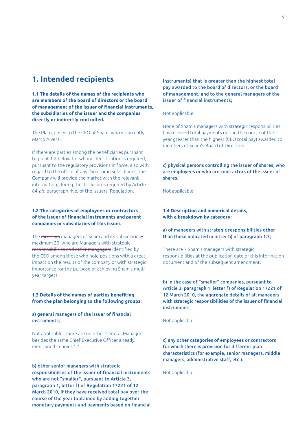# **1. Intended recipients**

**1.1 The details of the names of the recipients who are members of the board of directors or the board of management of the issuer of financial instruments, the subsidiaries of the issuer and the companies directly or indirectly controlled.**

The Plan applies to the CEO of Snam, who is currently Marco Alverà.

If there are parties among the beneficiaries pursuant to point 1.2 below for whom identification is required, pursuant to the regulatory provisions in force, also with regard to the office of any Director in subsidiaries, the Company will provide the market with the relevant information, during the disclosures required by Article 84-*bis*, paragraph five, of the Issuers' Regulation.

#### **1.2 The categories of employees or contractors of the issuer of financial instruments and parent companies or subsidiaries of this issuer.**

The <del>directors</del> managers of Snam and its subsidiaries, maximum 20, who are Managers with strategic responsabilities and other mangagers identified by the CEO among those who hold positions with a great impact on the results of the company or with strategic importance for the purpose of achieving Snam's multiyear targets.

### **1.3 Details of the names of parties benefiting from the plan belonging to the following groups:**

#### a) general managers of the issuer of financial instruments;

Not applicable. There are no other General Managers besides the same Chief Executive Officer already mentioned in point 1.1.

b) other senior managers with strategic responsibilities of the issuer of financial instruments who are not "smaller", pursuant to Article 3, paragraph 1, letter f) of Regulation 17221 of 12 March 2010, if they have received total pay over the course of the year (obtained by adding together monetary payments and payments based on financial instruments) that is greater than the highest total pay awarded to the board of directors, or the board of management, and to the general managers of the issuer of financial instruments;

#### Not applicable

None of Snam's managers with strategic responsibilities has received total payments during the course of the year greater than the highest (CEO total pay) awarded to members of Snam's Board of Directors.

c) physical persons controlling the issuer of shares, who are employees or who are contractors of the issuer of shares.

Not applicable

#### **1.4 Description and numerical details, with a breakdown by category:**

#### a) of managers with strategic responsibilities other than those indicated in letter b) of paragraph 1.3;

There are 7 Snam's managers with strategic responsibilities at the publication date of this information document and of the subsequent amendment.

b) in the case of "smaller" companies, pursuant to Article 3, paragraph 1, letter f) of Regulation 17221 of 12 March 2010, the aggregate details of all managers with strategic responsibilities of the issuer of financial instruments;

Not applicable

c) any other categories of employees or contractors for which there is provision for different plan characteristics (for example, senior managers, middle managers, administrative staff, etc.).

Not applicable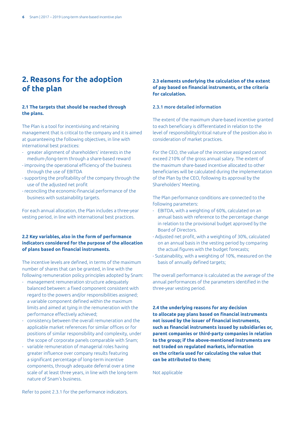# **2. Reasons for the adoption of the plan**

#### **2.1 The targets that should be reached through the plans.**

The Plan is a tool for incentivising and retaining management that is critical to the company and it is aimed at guaranteeing the following objectives, in line with international best practices:

- greater alignment of shareholders' interests in the medium-/long-term through a share-based reward
- improving the operational efficiency of the business through the use of EBITDA
- supporting the profitability of the company through the use of the adjusted net profit
- reconciling the economic-financial performance of the business with sustainability targets.

For each annual allocation, the Plan includes a three-year vesting period, in line with international best practices.

#### **2.2 Key variables, also in the form of performance indicators considered for the purpose of the allocation of plans based on financial instruments.**

The incentive levels are defined, in terms of the maximum number of shares that can be granted, in line with the following remuneration policy principles adopted by Snam:

- management remuneration structure adequately balanced between: a fixed component consistent with regard to the powers and/or responsibilities assigned; a variable component defined within the maximum limits and aimed at tying in the remuneration with the performance effectively achieved;
- consistency between the overall remuneration and the applicable market references for similar offices or for positions of similar responsibility and complexity, under the scope of corporate panels comparable with Snam;
- variable remuneration of managerial roles having greater influence over company results featuring a significant percentage of long-term incentive components, through adequate deferral over a time scale of at least three years, in line with the long-term nature of Snam's business.

### **2.3 elements underlying the calculation of the extent of pay based on financial instruments, or the criteria for calculation.**

#### 2.3.1 more detailed information

The extent of the maximum share-based incentive granted to each beneficiary is differentiated in relation to the level of responsibility/critical nature of the position also in consideration of market practices.

For the CEO, the value of the incentive assigned cannot exceed 210% of the gross annual salary. The extent of the maximum share-based incentive allocated to other beneficiaries will be calculated during the implementation of the Plan by the CEO, following its approval by the Shareholders' Meeting.

The Plan performance conditions are connected to the following parameters:

- EBITDA, with a weighting of 60%, calculated on an annual basis with reference to the percentage change in relation to the provisional budget approved by the Board of Directors.
- Adjusted net profit, with a weighting of 30%, calculated on an annual basis in the vesting period by comparing the actual figures with the budget forecasts;
- Sustainability, with a weighting of 10%, measured on the basis of annually defined targets;

The overall performance is calculated as the average of the annual performances of the parameters identified in the three-year vesting period.

**2.4 the underlying reasons for any decision to allocate pay plans based on financial instruments not issued by the issuer of financial instruments, such as financial instruments issued by subsidiaries or, parent companies or third-party companies in relation to the group; if the above-mentioned instruments are not traded on regulated markets, information on the criteria used for calculating the value that can be attributed to them;**

Not applicable

Refer to point 2.3.1 for the performance indicators.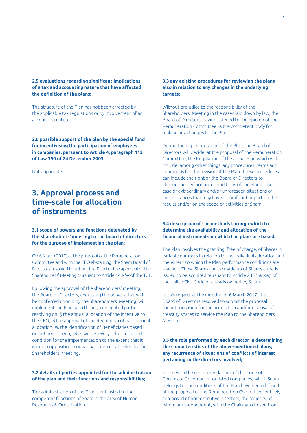**2.5 evaluations regarding significant implications of a tax and accounting nature that have affected the definition of the plans;**

The structure of the Plan has not been affected by the applicable tax regulations or by involvement of an accounting nature.

**2.6 possible support of the plan by the special fund for incentivising the participation of employees in companies, pursuant to Article 4, paragraph 112 of Law 350 of 24 December 2003.**

Not applicable

# **3. Approval process and time-scale for allocation of instruments**

#### **3.1 scope of powers and functions delegated by the shareholders' meeting to the board of directors for the purpose of implementing the plan;**

On 6 March 2017, at the proposal of the Remuneration Committee and with the CEO abstaining, the Snam Board of Directors resolved to submit the Plan for the approval of the Shareholders' Meeting pursuant to Article 144-*bis* of the TUF.

Following the approval of the shareholders' meeting, the Board of Directors, exercising the powers that will be conferred upon it by the Shareholders' Meeting, will implement the Plan, also through delegated parties, resolving on: *i)* the annual allocation of the incentive to the CEO; *ii)* the approval of the Regulation of each annual allocation; *iii)* the identification of Beneficiaries based on defined criteria; *iv)* as well as every other term and condition for the implementation to the extent that it is not in opposition to what has been established by the Shareholders' Meeting.

#### **3.2 details of parties appointed for the administration of the plan and their functions and responsibilities;**

The administration of the Plan is entrusted to the competent functions of Snam in the area of Human Resources & Organization.

#### **3.3 any existing procedures for reviewing the plans also in relation to any changes in the underlying targets;**

Without prejudice to the responsibility of the Shareholders' Meeting in the cases laid down by law, the Board of Directors, having listened to the opinion of the Remuneration Committee, is the competent body for making any changes to the Plan.

During the implementation of the Plan, the Board of Directors will decide, at the proposal of the Remuneration Committee, the Regulation of the actual Plan which will include, among other things, any procedures, terms and conditions for the revision of the Plan. These procedures can include the right of the Board of Directors to change the performance conditions of the Plan in the case of extraordinary and/or unforeseen situations or circumstances that may have a significant impact on the results and/or on the scope of activities of Snam.

### **3.4 description of the methods through which to determine the availability and allocation of the financial instruments on which the plans are based.**

The Plan involves the granting, free of charge, of Shares in variable numbers in relation to the individual allocation and the extent to which the Plan performance conditions are reached. These Shares can be made up of Shares already issued to be acquired pursuant to Article 2357 *et.seq.* of the Italian Civil Code or already owned by Snam.

In this regard, at the meeting of 6 March 2017, the Board of Directors resolved to submit the proposal for authorisation for the acquisition and/or disposal of treasury shares to service the Plan to the Shareholders' Meeting.

## **3.5 the role performed by each director in determining the characteristics of the above-mentioned plans; any recurrence of situations of conflicts of interest pertaining to the directors involved;**

In line with the recommendations of the Code of Corporate Governance for listed companies, which Snam belongs to, the conditions of the Plan have been defined at the proposal of the Remuneration Committee, entirely composed of non-executive directors, the majority of whom are independent, with the Chairman chosen from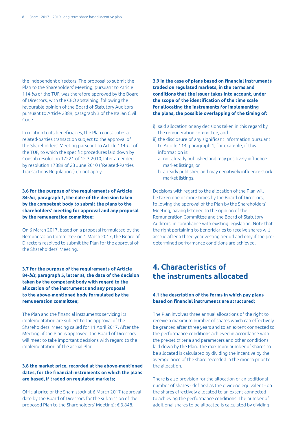the independent directors. The proposal to submit the Plan to the Shareholders' Meeting, pursuant to Article 114-*bis* of the TUF, was therefore approved by the Board of Directors, with the CEO abstaining, following the favourable opinion of the Board of Statutory Auditors pursuant to Article 2389, paragraph 3 of the Italian Civil Code.

In relation to its beneficiaries, the Plan constitutes a related-parties transaction subject to the approval of the Shareholders' Meeting pursuant to Article 114-*bis* of the TUF, to which the specific procedures laid down by Consob resolution 17221 of 12.3.2010, later amended by resolution 17389 of 23 June 2010 ("Related-Parties Transactions Regulation") do not apply.

**3.6 for the purpose of the requirements of Article 84-***bis***, paragraph 1, the date of the decision taken by the competent body to submit the plans to the shareholders' meeting for approval and any proposal by the remuneration committee;**

On 6 March 2017, based on a proposal formulated by the Remuneration Committee on 1 March 2017, the Board of Directors resolved to submit the Plan for the approval of the Shareholders' Meeting.

**3.7 for the purpose of the requirements of Article 84-***bis***, paragraph 5, letter a), the date of the decision taken by the competent body with regard to the allocation of the instruments and any proposal to the above-mentioned body formulated by the remuneration committee;**

The Plan and the financial instruments servicing its implementation are subject to the approval of the Shareholders' Meeting called for 11 April 2017. After the Meeting, if the Plan is approved, the Board of Directors will meet to take important decisions with regard to the implementation of the actual Plan.

#### **3.8 the market price, recorded at the above-mentioned dates, for the financial instruments on which the plans are based, if traded on regulated markets;**

Official price of the Snam stock at 6 March 2017 (approval date by the Board of Directors for the submission of the proposed Plan to the Shareholders' Meeting): € 3.848.

**3.9 in the case of plans based on financial instruments traded on regulated markets, in the terms and conditions that the issuer takes into account, under the scope of the identification of the time scale for allocating the instruments for implementing the plans, the possible overlapping of the timing of:**

- i) said allocation or any decisions taken in this regard by the remuneration committee, and
- ii) the disclosure of any significant information pursuant to Article 114, paragraph 1; for example, if this information is:
	- a. not already published and may positively influence market listings, or
	- b. already published and may negatively influence stock market listings.

Decisions with regard to the allocation of the Plan will be taken one or more times by the Board of Directors, following the approval of the Plan by the Shareholders' Meeting, having listened to the opinion of the Remuneration Committee and the Board of Statutory Auditors, in compliance with existing legislation. Note that the right pertaining to beneficiaries to receive shares will accrue after a three-year vesting period and only if the predetermined performance conditions are achieved.

## **4. Characteristics of the instruments allocated**

#### **4.1 the description of the forms in which pay plans based on financial instruments are structured;**

The Plan involves three annual allocations of the right to receive a maximum number of shares which can effectively be granted after three years and to an extent connected to the performance conditions achieved in accordance with the pre-set criteria and parameters and other conditions laid down by the Plan. The maximum number of shares to be allocated is calculated by dividing the incentive by the average price of the share recorded in the month prior to the allocation.

There is also provision for the allocation of an additional number of shares - defined as the dividend equivalent - on the shares effectively allocated to an extent connected to achieving the performance conditions. The number of additional shares to be allocated is calculated by dividing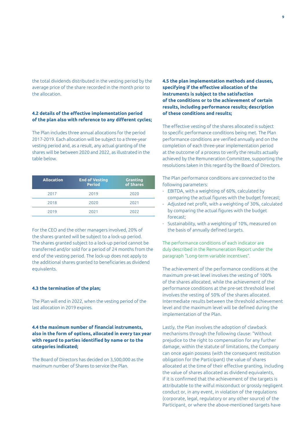the total dividends distributed in the vesting period by the average price of the share recorded in the month prior to the allocation.

#### **4.2 details of the effective implementation period of the plan also with reference to any different cycles;**

The Plan includes three annual allocations for the period 2017-2019. Each allocation will be subject to a three-year vesting period and, as a result, any actual granting of the shares will be between 2020 and 2022, as illustrated in the table below.

| <b>Allocation</b> | <b>End of Vesting</b><br><b>Period</b> | <b>Granting</b><br><b>Of Shares</b> |  |  |  |
|-------------------|----------------------------------------|-------------------------------------|--|--|--|
| 2017              | 2019                                   | 2020                                |  |  |  |
| 2018              | 2020                                   | 2021                                |  |  |  |
| 2019              | 2021                                   | 2022                                |  |  |  |

For the CEO and the other managers involved, 20% of the shares granted will be subject to a lock-up period. The shares granted subject to a lock-up period cannot be transferred and/or sold for a period of 24 months from the end of the vesting period. The lock-up does not apply to the additional shares granted to beneficiaries as dividend equivalents.

#### **4.3 the termination of the plan;**

The Plan will end in 2022, when the vesting period of the last allocation in 2019 expires.

### **4.4 the maximum number of financial instruments, also in the form of options, allocated in every tax year with regard to parties identified by name or to the categories indicated;**

The Board of Directors has decided on 3,500,000 as the maximum number of Shares to service the Plan.

### **4.5 the plan implementation methods and clauses, specifying if the effective allocation of the instruments is subject to the satisfaction of the conditions or to the achievement of certain results, including performance results; description of these conditions and results;**

The effective vesting of the shares allocated is subject to specific performance conditions being met. The Plan performance conditions are verified annually and on the completion of each three-year implementation period at the outcome of a process to verify the results actually achieved by the Remuneration Committee, supporting the resolutions taken in this regard by the Board of Directors.

The Plan performance conditions are connected to the following parameters:

- EBITDA, with a weighting of 60%, calculated by comparing the actual figures with the budget forecast;
- Adjusted net profit, with a weighting of 30%, calculated by comparing the actual figures with the budget forecast;
- Sustainability, with a weighting of 10%, measured on the basis of annually defined targets.

The performance conditions of each indicator are duly described in the Remuneration Report under the paragraph "Long-term variable incentives".

The achievement of the performance conditions at the maximum pre-set level involves the vesting of 100% of the shares allocated, while the achievement of the performance conditions at the pre-set threshold level involves the vesting of 50% of the shares allocated. Intermediate results between the threshold achievement level and the maximum level will be defined during the implementation of the Plan.

Lastly, the Plan involves the adoption of clawback mechanisms through the following clause: "Without prejudice to the right to compensation for any further damage, within the statute of limitations, the Company can once again possess (with the consequent restitution obligation for the Participant) the value of shares allocated at the time of their effective granting, including the value of shares allocated as dividend equivalents, if it is confirmed that the achievement of the targets is attributable to the wilful misconduct or grossly negligent conduct or, in any event, in violation of the regulations (corporate, legal, regulatory or any other source) of the Participant, or where the above-mentioned targets have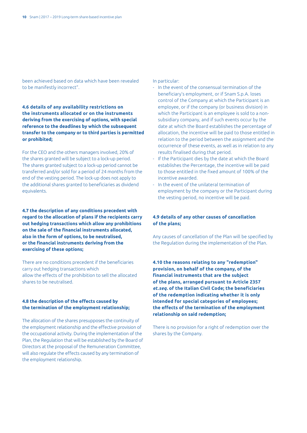been achieved based on data which have been revealed to be manifestly incorrect".

**4.6 details of any availability restrictions on the instruments allocated or on the instruments deriving from the exercising of options, with special reference to the deadlines by which the subsequent transfer to the company or to third parties is permitted or prohibited;**

For the CEO and the others managers involved, 20% of the shares granted will be subject to a lock-up period. The shares granted subject to a lock-up period cannot be transferred and/or sold for a period of 24 months from the end of the vesting period. The lock-up does not apply to the additional shares granted to beneficiaries as dividend equivalents.

**4.7 the description of any conditions precedent with regard to the allocation of plans if the recipients carry out hedging transactions which allow any prohibitions on the sale of the financial instruments allocated, also in the form of options, to be neutralised, or the financial instruments deriving from the exercising of these options;**

There are no conditions precedent if the beneficiaries carry out hedging transactions which allow the effects of the prohibition to sell the allocated shares to be neutralised.

#### **4.8 the description of the effects caused by the termination of the employment relationship;**

The allocation of the shares presupposes the continuity of the employment relationship and the effective provision of the occupational activity. During the implementation of the Plan, the Regulation that will be established by the Board of Directors at the proposal of the Remuneration Committee, will also regulate the effects caused by any termination of the employment relationship.

#### In particular:

- In the event of the consensual termination of the beneficiary's employment, or if Snam S.p.A. loses control of the Company at which the Participant is an employee, or if the company (or business division) in which the Participant is an employee is sold to a nonsubsidiary company, and if such events occur by the date at which the Board establishes the percentage of allocation, the incentive will be paid to those entitled in relation to the period between the assignment and the occurrence of these events, as well as in relation to any results finalised during that period.
- If the Participant dies by the date at which the Board establishes the Percentage, the incentive will be paid to those entitled in the fixed amount of 100% of the incentive awarded.
- In the event of the unilateral termination of employment by the company or the Participant during the vesting period, no incentive will be paid.

## **4.9 details of any other causes of cancellation of the plans;**

Any causes of cancellation of the Plan will be specified by the Regulation during the implementation of the Plan.

**4.10 the reasons relating to any "redemption" provision, on behalf of the company, of the financial instruments that are the subject of the plans, arranged pursuant to Article 2357**  *et.seq.* **of the Italian Civil Code; the beneficiaries of the redemption indicating whether it is only intended for special categories of employees; the effects of the termination of the employment relationship on said redemption;**

There is no provision for a right of redemption over the shares by the Company.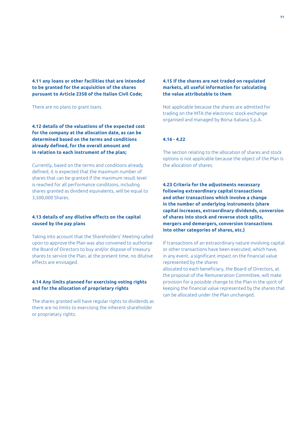**4.11 any loans or other facilities that are intended to be granted for the acquisition of the shares pursuant to Article 2358 of the Italian Civil Code;**

#### There are no plans to grant loans

**4.12 details of the valuations of the expected cost for the company at the allocation date, as can be determined based on the terms and conditions already defined, for the overall amount and in relation to each instrument of the plan;**

Currently, based on the terms and conditions already defined, it is expected that the maximum number of shares that can be granted if the maximum result level is reached for all performance conditions, including shares granted as dividend equivalents, will be equal to 3,500,000 Shares.

#### **4.13 details of any dilutive effects on the capital caused by the pay plans**

Taking into account that the Shareholders' Meeting called upon to approve the Plan was also convened to authorise the Board of Directors to buy and/or dispose of treasury shares to service the Plan, at the present time, no dilutive effects are envisaged.

#### **4.14 Any limits planned for exercising voting rights and for the allocation of proprietary rights**

The shares granted will have regular rights to dividends as there are no limits to exercising the inherent shareholder or proprietary rights.

## **4.15 If the shares are not traded on regulated markets, all useful information for calculating the value attributable to them**

Not applicable because the shares are admitted for trading on the MTA the electronic stock exchange organised and managed by Borsa Italiana S.p.A.

#### **4.16 - 4.22**

The section relating to the allocation of shares and stock options is not applicable because the object of the Plan is the allocation of shares.

**4.23 Criteria for the adjustments necessary following extraordinary capital transactions and other transactions which involve a change in the number of underlying instruments (share capital increases, extraordinary dividends, conversion of shares into stock and reverse stock splits, mergers and demergers, conversion transactions into other categories of shares, etc.)**

If transactions of an extraordinary nature involving capital or other transactions have been executed, which have, in any event, a significant impact on the financial value represented by the shares

allocated to each beneficiary, the Board of Directors, at the proposal of the Remuneration Committee, will make provision for a possible change to the Plan in the spirit of keeping the financial value represented by the shares that can be allocated under the Plan unchanged.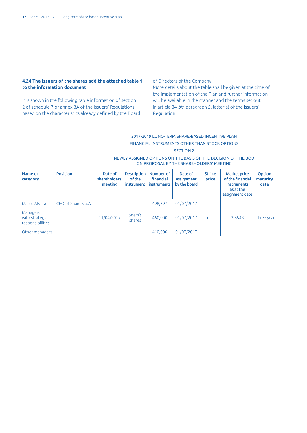### **4.24 The issuers of the shares add the attached table 1 to the information document:**

It is shown in the following table information of section 2 of schedule 7 of annex 3A of the Issuers' Regulations, based on the characteristics already defined by the Board of Directors of the Company.

More details about the table shall be given at the time of the implementation of the Plan and further information will be available in the manner and the terms set out in article 84-*bis*, paragraph 5, letter a) of the Issuers' Regulation.

## 2017-2019 LONG-TERM SHARE-BASED INCENTIVE PLAN FINANCIAL INSTRUMENTS OTHER THAN STOCK OPTIONS SECTION 2

#### NEWLY ASSIGNED OPTIONS ON THE BASIS OF THE DECISION OF THE BOD ON PROPOSAL BY THE SHAREHOLDERS' MEETING

| Name or<br>category                            | <b>Position</b>    | Date of<br>shareholders'<br>meeting | Description<br>of the | Number of<br>financial<br>instrument   instruments | Date of<br>assignment<br>by the board | <b>Strike</b><br>price | <b>Market price</b><br>of the financial<br><b>instruments</b><br>as at the<br>assignment date | <b>Option</b><br>maturity<br>date |
|------------------------------------------------|--------------------|-------------------------------------|-----------------------|----------------------------------------------------|---------------------------------------|------------------------|-----------------------------------------------------------------------------------------------|-----------------------------------|
| Marco Alverà                                   | CEO of Snam S.p.A. |                                     |                       | 498,397                                            | 01/07/2017                            |                        |                                                                                               |                                   |
| Managers<br>with strategic<br>responsibilities |                    | 11/04/2017                          | Snam's<br>shares      | 460,000                                            | 01/07/2017                            | n.a.                   | 3.8548                                                                                        | Three-year                        |
| Other managers                                 |                    |                                     |                       | 410,000                                            | 01/07/2017                            |                        |                                                                                               |                                   |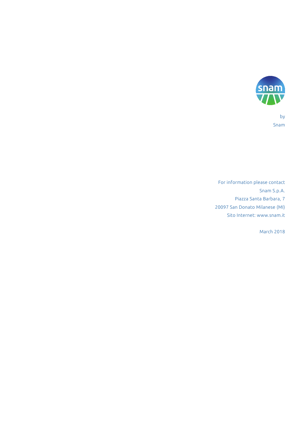

by Snam

For information please contact Snam S.p.A. Piazza Santa Barbara, 7 20097 San Donato Milanese (MI) Sito Internet: www.snam.it

March 2018